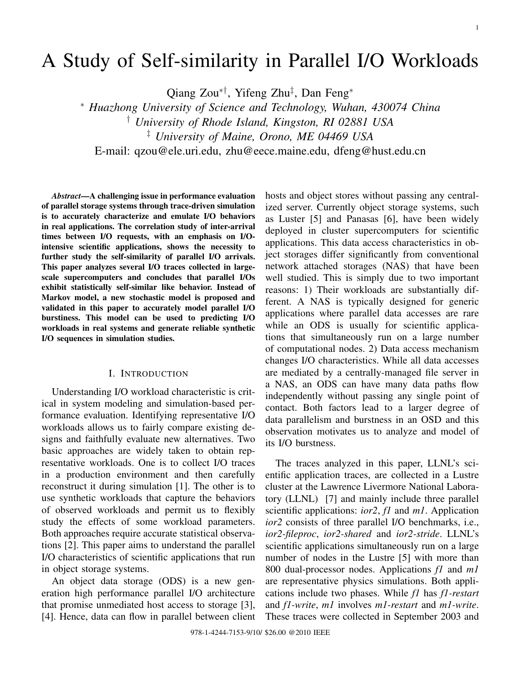# A Study of Self-similarity in Parallel I/O Workloads

Qiang Zou∗†, Yifeng Zhu‡ , Dan Feng<sup>∗</sup>

<sup>∗</sup> *Huazhong University of Science and Technology, Wuhan, 430074 China*

† *University of Rhode Island, Kingston, RI 02881 USA*

‡ *University of Maine, Orono, ME 04469 USA*

E-mail: qzou@ele.uri.edu, zhu@eece.maine.edu, dfeng@hust.edu.cn

*Abstract*—A challenging issue in performance evaluation of parallel storage systems through trace-driven simulation is to accurately characterize and emulate I/O behaviors in real applications. The correlation study of inter-arrival times between I/O requests, with an emphasis on I/Ointensive scientific applications, shows the necessity to further study the self-similarity of parallel I/O arrivals. This paper analyzes several I/O traces collected in largescale supercomputers and concludes that parallel I/Os exhibit statistically self-similar like behavior. Instead of Markov model, a new stochastic model is proposed and validated in this paper to accurately model parallel I/O burstiness. This model can be used to predicting I/O workloads in real systems and generate reliable synthetic I/O sequences in simulation studies.

#### I. INTRODUCTION

Understanding I/O workload characteristic is critical in system modeling and simulation-based performance evaluation. Identifying representative I/O workloads allows us to fairly compare existing designs and faithfully evaluate new alternatives. Two basic approaches are widely taken to obtain representative workloads. One is to collect I/O traces in a production environment and then carefully reconstruct it during simulation [1]. The other is to use synthetic workloads that capture the behaviors of observed workloads and permit us to flexibly study the effects of some workload parameters. Both approaches require accurate statistical observations [2]. This paper aims to understand the parallel I/O characteristics of scientific applications that run in object storage systems.

An object data storage (ODS) is a new generation high performance parallel I/O architecture that promise unmediated host access to storage [3], [4]. Hence, data can flow in parallel between client

hosts and object stores without passing any centralized server. Currently object storage systems, such as Luster [5] and Panasas [6], have been widely deployed in cluster supercomputers for scientific applications. This data access characteristics in object storages differ significantly from conventional network attached storages (NAS) that have been well studied. This is simply due to two important reasons: 1) Their workloads are substantially different. A NAS is typically designed for generic applications where parallel data accesses are rare while an ODS is usually for scientific applications that simultaneously run on a large number of computational nodes. 2) Data access mechanism changes I/O characteristics. While all data accesses are mediated by a centrally-managed file server in a NAS, an ODS can have many data paths flow independently without passing any single point of contact. Both factors lead to a larger degree of data parallelism and burstness in an OSD and this observation motivates us to analyze and model of its I/O burstness.

The traces analyzed in this paper, LLNL's scientific application traces, are collected in a Lustre cluster at the Lawrence Livermore National Laboratory (LLNL) [7] and mainly include three parallel scientific applications: *ior2*, *f1* and *m1*. Application *ior2* consists of three parallel I/O benchmarks, i.e., *ior2-fileproc*, *ior2-shared* and *ior2-stride*. LLNL's scientific applications simultaneously run on a large number of nodes in the Lustre [5] with more than 800 dual-processor nodes. Applications *f1* and *m1* are representative physics simulations. Both applications include two phases. While *f1* has *f1-restart* and *f1-write*, *m1* involves *m1-restart* and *m1-write*. These traces were collected in September 2003 and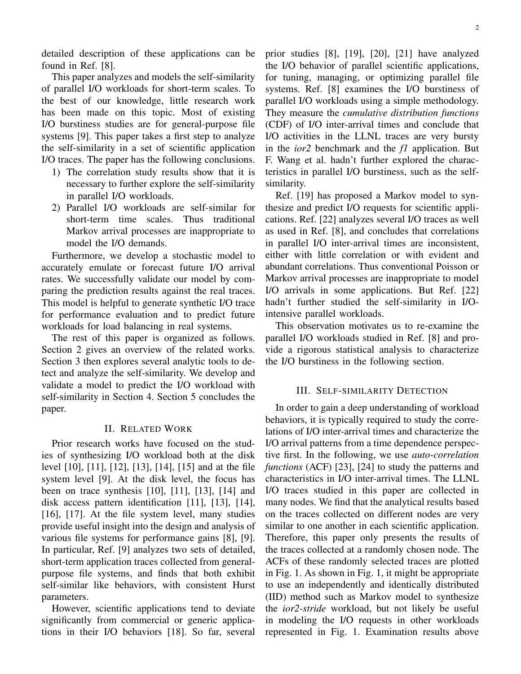detailed description of these applications can be found in Ref. [8].

This paper analyzes and models the self-similarity of parallel I/O workloads for short-term scales. To the best of our knowledge, little research work has been made on this topic. Most of existing I/O burstiness studies are for general-purpose file systems [9]. This paper takes a first step to analyze the self-similarity in a set of scientific application I/O traces. The paper has the following conclusions.

- 1) The correlation study results show that it is necessary to further explore the self-similarity in parallel I/O workloads.
- 2) Parallel I/O workloads are self-similar for short-term time scales. Thus traditional Markov arrival processes are inappropriate to model the I/O demands.

Furthermore, we develop a stochastic model to accurately emulate or forecast future I/O arrival rates. We successfully validate our model by comparing the prediction results against the real traces. This model is helpful to generate synthetic I/O trace for performance evaluation and to predict future workloads for load balancing in real systems.

The rest of this paper is organized as follows. Section 2 gives an overview of the related works. Section 3 then explores several analytic tools to detect and analyze the self-similarity. We develop and validate a model to predict the I/O workload with self-similarity in Section 4. Section 5 concludes the paper.

#### II. RELATED WORK

Prior research works have focused on the studies of synthesizing I/O workload both at the disk level [10], [11], [12], [13], [14], [15] and at the file system level [9]. At the disk level, the focus has been on trace synthesis [10], [11], [13], [14] and disk access pattern identification [11], [13], [14], [16], [17]. At the file system level, many studies provide useful insight into the design and analysis of various file systems for performance gains [8], [9]. In particular, Ref. [9] analyzes two sets of detailed, short-term application traces collected from generalpurpose file systems, and finds that both exhibit self-similar like behaviors, with consistent Hurst parameters.

However, scientific applications tend to deviate significantly from commercial or generic applications in their I/O behaviors [18]. So far, several prior studies [8], [19], [20], [21] have analyzed the I/O behavior of parallel scientific applications, for tuning, managing, or optimizing parallel file systems. Ref. [8] examines the I/O burstiness of parallel I/O workloads using a simple methodology. They measure the *cumulative distribution functions* (CDF) of I/O inter-arrival times and conclude that I/O activities in the LLNL traces are very bursty in the *ior2* benchmark and the *f1* application. But F. Wang et al. hadn't further explored the characteristics in parallel I/O burstiness, such as the selfsimilarity.

Ref. [19] has proposed a Markov model to synthesize and predict I/O requests for scientific applications. Ref. [22] analyzes several I/O traces as well as used in Ref. [8], and concludes that correlations in parallel I/O inter-arrival times are inconsistent, either with little correlation or with evident and abundant correlations. Thus conventional Poisson or Markov arrival processes are inappropriate to model I/O arrivals in some applications. But Ref. [22] hadn't further studied the self-similarity in I/Ointensive parallel workloads.

This observation motivates us to re-examine the parallel I/O workloads studied in Ref. [8] and provide a rigorous statistical analysis to characterize the I/O burstiness in the following section.

#### III. SELF-SIMILARITY DETECTION

In order to gain a deep understanding of workload behaviors, it is typically required to study the correlations of I/O inter-arrival times and characterize the I/O arrival patterns from a time dependence perspective first. In the following, we use *auto-correlation functions* (ACF) [23], [24] to study the patterns and characteristics in I/O inter-arrival times. The LLNL I/O traces studied in this paper are collected in many nodes. We find that the analytical results based on the traces collected on different nodes are very similar to one another in each scientific application. Therefore, this paper only presents the results of the traces collected at a randomly chosen node. The ACFs of these randomly selected traces are plotted in Fig. 1. As shown in Fig. 1, it might be appropriate to use an independently and identically distributed (IID) method such as Markov model to synthesize the *ior2-stride* workload, but not likely be useful in modeling the I/O requests in other workloads represented in Fig. 1. Examination results above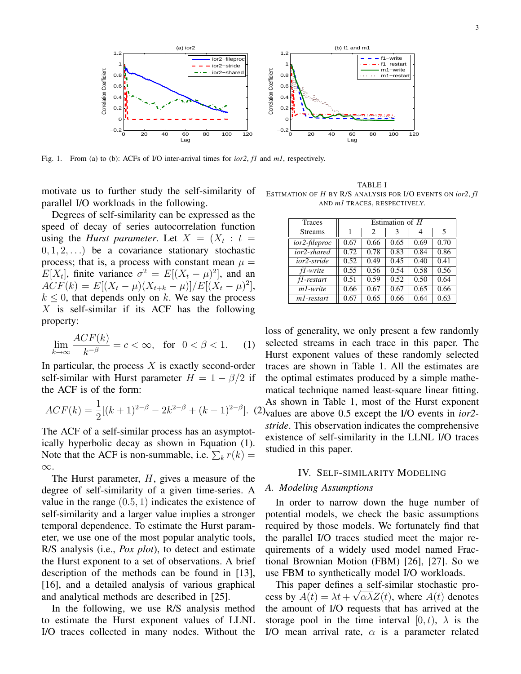

Fig. 1. From (a) to (b): ACFs of I/O inter-arrival times for *ior2*, *f1* and *m1*, respectively.

motivate us to further study the self-similarity of parallel I/O workloads in the following.

Degrees of self-similarity can be expressed as the speed of decay of series autocorrelation function using the *Hurst parameter*. Let  $X = (X_t : t =$  $(0, 1, 2, ...)$  be a covariance stationary stochastic process; that is, a process with constant mean  $\mu =$  $E[X_t]$ , finite variance  $\sigma^2 = E[(X_t - \mu)^2]$ , and an  $ACF(k) = E[(X_t - \mu)(X_{t+k} - \mu)]/E[(X_t - \mu)^2],$  $k \leq 0$ , that depends only on k. We say the process  $X$  is self-similar if its ACF has the following property:

$$
\lim_{k \to \infty} \frac{ACF(k)}{k^{-\beta}} = c < \infty, \quad \text{for} \quad 0 < \beta < 1. \tag{1}
$$

In particular, the process  $X$  is exactly second-order self-similar with Hurst parameter  $H = 1 - \beta/2$  if the ACF is of the form:

$$
ACF(k) = \frac{1}{2}[(k+1)^{2-\beta} - 2k^{2-\beta} + (k-1)^{2-\beta}].
$$
 (2)

The ACF of a self-similar process has an asymptotically hyperbolic decay as shown in Equation (1). Note that the ACF is non-summable, i.e.  $\sum_k r(k) =$ ∞.

The Hurst parameter,  $H$ , gives a measure of the degree of self-similarity of a given time-series. A value in the range  $(0.5, 1)$  indicates the existence of self-similarity and a larger value implies a stronger temporal dependence. To estimate the Hurst parameter, we use one of the most popular analytic tools, R/S analysis (i.e., *Pox plot*), to detect and estimate the Hurst exponent to a set of observations. A brief description of the methods can be found in [13], [16], and a detailed analysis of various graphical and analytical methods are described in [25].

In the following, we use R/S analysis method to estimate the Hurst exponent values of LLNL I/O traces collected in many nodes. Without the

TABLE I ESTIMATION OF H BY R/S ANALYSIS FOR I/O EVENTS ON *ior2*, *f1* AND *m1* TRACES, RESPECTIVELY.

| <b>Traces</b>           | Estimation of $H$ |      |      |      |      |
|-------------------------|-------------------|------|------|------|------|
| <b>Streams</b>          | 1                 | 2    | 3    | 4    | 5    |
| ior2-fileproc           | 0.67              | 0.66 | 0.65 | 0.69 | 0.70 |
| ior2-shared             | 0.72              | 0.78 | 0.83 | 0.84 | 0.86 |
| ior2-stride             | 0.52              | 0.49 | 0.45 | 0.40 | 0.41 |
| fl-write                | 0.55              | 0.56 | 0.54 | 0.58 | 0.56 |
| fl-restart              | 0.51              | 0.59 | 0.52 | 0.50 | 0.64 |
| m <sub>1</sub> -write   | 0.66              | 0.67 | 0.67 | 0.65 | 0.66 |
| m <sub>1</sub> -restart | 0.67              | 0.65 | 0.66 | 0.64 | 0.63 |

]. (2) values are above 0.5 except the I/O events in *ior2* loss of generality, we only present a few randomly selected streams in each trace in this paper. The Hurst exponent values of these randomly selected traces are shown in Table 1. All the estimates are the optimal estimates produced by a simple mathematical technique named least-square linear fitting. As shown in Table 1, most of the Hurst exponent *stride*. This observation indicates the comprehensive existence of self-similarity in the LLNL I/O traces studied in this paper.

#### IV. SELF-SIMILARITY MODELING

#### *A. Modeling Assumptions*

In order to narrow down the huge number of potential models, we check the basic assumptions required by those models. We fortunately find that the parallel I/O traces studied meet the major requirements of a widely used model named Fractional Brownian Motion (FBM) [26], [27]. So we use FBM to synthetically model I/O workloads.

This paper defines a self-similar stochastic process by  $A(t) = \lambda t + \sqrt{\alpha \lambda Z(t)}$ , where  $A(t)$  denotes the amount of I/O requests that has arrived at the storage pool in the time interval  $[0, t)$ ,  $\lambda$  is the I/O mean arrival rate,  $\alpha$  is a parameter related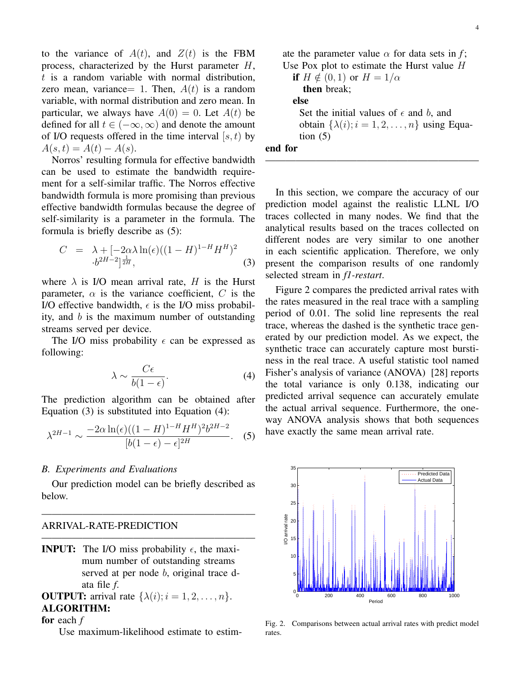to the variance of  $A(t)$ , and  $Z(t)$  is the FBM process, characterized by the Hurst parameter H,  $t$  is a random variable with normal distribution, zero mean, variance= 1. Then,  $A(t)$  is a random variable, with normal distribution and zero mean. In particular, we always have  $A(0) = 0$ . Let  $A(t)$  be defined for all  $t \in (-\infty, \infty)$  and denote the amount of I/O requests offered in the time interval  $[s, t)$  by  $A(s,t) = A(t) - A(s).$ 

Norros' resulting formula for effective bandwidth can be used to estimate the bandwidth requirement for a self-similar traffic. The Norros effective bandwidth formula is more promising than previous effective bandwidth formulas because the degree of self-similarity is a parameter in the formula. The formula is briefly describe as (5):

$$
C = \lambda + [-2\alpha\lambda \ln(\epsilon)((1 - H)^{1-H}H^H)^2
$$
  
.
$$
\cdot b^{2H-2}]^{\frac{1}{2H}},
$$
 (3)

where  $\lambda$  is I/O mean arrival rate, H is the Hurst parameter,  $\alpha$  is the variance coefficient, C is the I/O effective bandwidth,  $\epsilon$  is the I/O miss probability, and  $b$  is the maximum number of outstanding streams served per device.

The I/O miss probability  $\epsilon$  can be expressed as following:

$$
\lambda \sim \frac{C\epsilon}{b(1-\epsilon)}.\tag{4}
$$

The prediction algorithm can be obtained after Equation (3) is substituted into Equation (4):

$$
\lambda^{2H-1} \sim \frac{-2\alpha \ln(\epsilon)((1-H)^{1-H}H^H)^2 b^{2H-2}}{[b(1-\epsilon)-\epsilon]^{2H}}.\tag{5}
$$

#### *B. Experiments and Evaluations*

Our prediction model can be briefly described as below.

—————————————————————

—————————————————————

### ARRIVAL-RATE-PREDICTION

**INPUT:** The I/O miss probability  $\epsilon$ , the maximum number of outstanding streams served at per node b, original trace data file *f*.

## **OUTPUT:** arrival rate  $\{\lambda(i); i = 1, 2, \ldots, n\}.$ ALGORITHM:

for each *f*

Use maximum-likelihood estimate to estim-

ate the parameter value  $\alpha$  for data sets in *f*; Use Pox plot to estimate the Hurst value  $H$ if  $H \notin (0, 1)$  or  $H = 1/\alpha$ then break; else Set the initial values of  $\epsilon$  and b, and obtain  $\{\lambda(i); i = 1, 2, \ldots, n\}$  using Equation  $(5)$ end for

In this section, we compare the accuracy of our prediction model against the realistic LLNL I/O traces collected in many nodes. We find that the analytical results based on the traces collected on different nodes are very similar to one another in each scientific application. Therefore, we only present the comparison results of one randomly selected stream in *f1-restart*.

—————————————————————

Figure 2 compares the predicted arrival rates with the rates measured in the real trace with a sampling period of 0.01. The solid line represents the real trace, whereas the dashed is the synthetic trace generated by our prediction model. As we expect, the synthetic trace can accurately capture most burstiness in the real trace. A useful statistic tool named Fisher's analysis of variance (ANOVA) [28] reports the total variance is only 0.138, indicating our predicted arrival sequence can accurately emulate the actual arrival sequence. Furthermore, the oneway ANOVA analysis shows that both sequences have exactly the same mean arrival rate.



Fig. 2. Comparisons between actual arrival rates with predict model rates.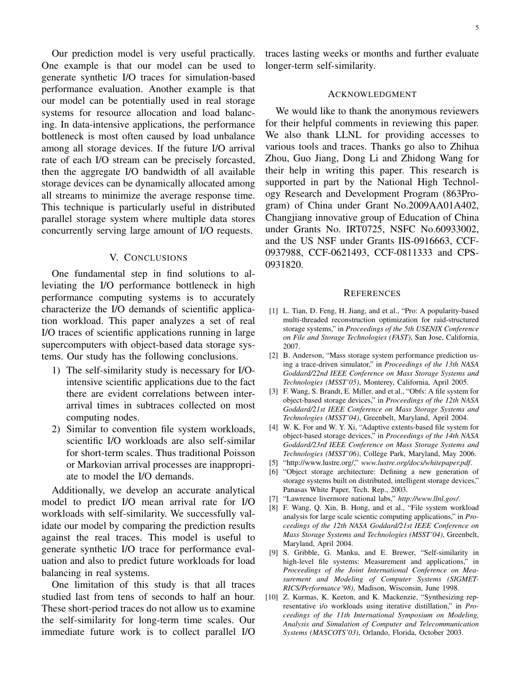Our prediction model is very useful practically. One example is that our model can be used to generate synthetic I/O traces for simulation-based performance evaluation. Another example is that our model can be potentially used in real storage systems for resource allocation and load balancing. In data-intensive applications, the performance bottleneck is most often caused by load unbalance among all storage devices. If the future I/O arrival rate of each I/O stream can be precisely forcasted, then the aggregate I/O bandwidth of all available storage devices can be dynamically allocated among all streams to minimize the average response time. This technique is particularly useful in distributed parallel storage system where multiple data stores concurrently serving large amount of I/O requests.

#### V. CONCLUSIONS

One fundamental step in find solutions to alleviating the I/O performance bottleneck in high performance computing systems is to accurately characterize the I/O demands of scientific application workload. This paper analyzes a set of real I/O traces of scientific applications running in large supercomputers with object-based data storage systems. Our study has the following conclusions.

- 1) The self-similarity study is necessary for I/Ointensive scientific applications due to the fact there are evident correlations between interarrival times in subtraces collected on most computing nodes.
- 2) Similar to convention file system workloads, scientific I/O workloads are also self-similar for short-term scales. Thus traditional Poisson or Markovian arrival processes are inappropriate to model the I/O demands.

Additionally, we develop an accurate analytical model to predict I/O mean arrival rate for I/O workloads with self-similarity. We successfully validate our model by comparing the prediction results against the real traces. This model is useful to generate synthetic I/O trace for performance evaluation and also to predict future workloads for load balancing in real systems.

One limitation of this study is that all traces studied last from tens of seconds to half an hour. These short-period traces do not allow us to examine the self-similarity for long-term time scales. Our immediate future work is to collect parallel I/O

traces lasting weeks or months and further evaluate longer-term self-similarity.

#### ACKNOWLEDGMENT

We would like to thank the anonymous reviewers for their helpful comments in reviewing this paper. We also thank LLNL for providing accesses to various tools and traces. Thanks go also to Zhihua Zhou, Guo Jiang, Dong Li and Zhidong Wang for their help in writing this paper. This research is supported in part by the National High Technology Research and Development Program (863Program) of China under Grant No.2009AA01A402, Changjiang innovative group of Education of China under Grants No. IRT0725, NSFC No.60933002, and the US NSF under Grants IIS-0916663, CCF-0937988, CCF-0621493, CCF-0811333 and CPS-0931820.

#### **REFERENCES**

- [1] L. Tian, D. Feng, H. Jiang, and et al., "Pro: A popularity-based multi-threaded reconstruction optimization for raid-structured storage systems," in *Proceedings of the 5th USENIX Conference on File and Storage Technologies (FAST)*, San Jose, California, 2007.
- [2] B. Anderson, "Mass storage system performance prediction using a trace-driven simulator," in *Proceedings of the 13th NASA Goddard/22nd IEEE Conference on Mass Storage Systems and Technologies (MSST'05)*, Monterey, California, April 2005.
- [3] F. Wang, S. Brandt, E. Miller, and et al., "Obfs: A file system for object-based storage devices," in *Proceedings of the 12th NASA Goddard/21st IEEE Conference on Mass Storage Systems and Technologies (MSST'04)*, Greenbelt, Maryland, April 2004.
- [4] W. K. For and W. Y. Xi, "Adaptive extents-based file system for object-based storage devices," in *Proceedings of the 14th NASA Goddard/23rd IEEE Conference on Mass Storage Systems and Technologies (MSST'06)*, College Park, Maryland, May 2006.
- [5] "http://www.lustre.org/," *www.lustre.org/docs/whitepaper.pdf*.
- [6] "Object storage architecture: Defining a new generation of storage systems built on distributed, intelligent storage devices," Panasas White Paper, Tech. Rep., 2003.
- [7] "Lawrence livermore national labs," *http://www.llnl.gov/*.
- [8] F. Wang, Q. Xin, B. Hong, and et al., "File system workload analysis for large scale scientic computing applications," in *Proceedings of the 12th NASA Goddard/21st IEEE Conference on Mass Storage Systems and Technologies (MSST'04)*, Greenbelt, Maryland, April 2004.
- [9] S. Gribble, G. Manku, and E. Brewer, "Self-similarity in high-level file systems: Measurement and applications," in *Proceedings of the Joint International Conference on Measurement and Modeling of Computer Systems (SIGMET-RICS/Performance'98)*, Madison, Wisconsin, June 1998.
- [10] Z. Kurmas, K. Keeton, and K. Mackenzie, "Synthesizing representative i/o workloads using iterative distillation," in *Proceedings of the 11th International Symposium on Modeling, Analysis and Simulation of Computer and Telecommunication Systems (MASCOTS'03)*, Orlando, Florida, October 2003.